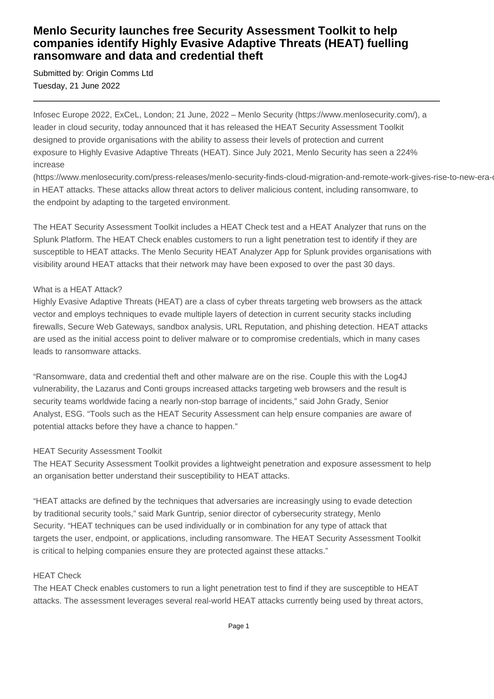# **Menlo Security launches free Security Assessment Toolkit to help companies identify Highly Evasive Adaptive Threats (HEAT) fuelling ransomware and data and credential theft**

Submitted by: Origin Comms Ltd Tuesday, 21 June 2022

Infosec Europe 2022, ExCeL, London; 21 June, 2022 – Menlo Security (https://www.menlosecurity.com/), a leader in cloud security, today announced that it has released the HEAT Security Assessment Toolkit designed to provide organisations with the ability to assess their levels of protection and current exposure to Highly Evasive Adaptive Threats (HEAT). Since July 2021, Menlo Security has seen a 224% increase

(https://www.menlosecurity.com/press-releases/menlo-security-finds-cloud-migration-and-remote-work-gives-rise-to-new-erain HEAT attacks. These attacks allow threat actors to deliver malicious content, including ransomware, to the endpoint by adapting to the targeted environment.

The HEAT Security Assessment Toolkit includes a HEAT Check test and a HEAT Analyzer that runs on the Splunk Platform. The HEAT Check enables customers to run a light penetration test to identify if they are susceptible to HEAT attacks. The Menlo Security HEAT Analyzer App for Splunk provides organisations with visibility around HEAT attacks that their network may have been exposed to over the past 30 days.

# What is a HEAT Attack?

Highly Evasive Adaptive Threats (HEAT) are a class of cyber threats targeting web browsers as the attack vector and employs techniques to evade multiple layers of detection in current security stacks including firewalls, Secure Web Gateways, sandbox analysis, URL Reputation, and phishing detection. HEAT attacks are used as the initial access point to deliver malware or to compromise credentials, which in many cases leads to ransomware attacks.

"Ransomware, data and credential theft and other malware are on the rise. Couple this with the Log4J vulnerability, the Lazarus and Conti groups increased attacks targeting web browsers and the result is security teams worldwide facing a nearly non-stop barrage of incidents," said John Grady, Senior Analyst, ESG. "Tools such as the HEAT Security Assessment can help ensure companies are aware of potential attacks before they have a chance to happen."

# HEAT Security Assessment Toolkit

The HEAT Security Assessment Toolkit provides a lightweight penetration and exposure assessment to help an organisation better understand their susceptibility to HEAT attacks.

"HEAT attacks are defined by the techniques that adversaries are increasingly using to evade detection by traditional security tools," said Mark Guntrip, senior director of cybersecurity strategy, Menlo Security. "HEAT techniques can be used individually or in combination for any type of attack that targets the user, endpoint, or applications, including ransomware. The HEAT Security Assessment Toolkit is critical to helping companies ensure they are protected against these attacks."

#### HEAT Check

The HEAT Check enables customers to run a light penetration test to find if they are susceptible to HEAT attacks. The assessment leverages several real-world HEAT attacks currently being used by threat actors,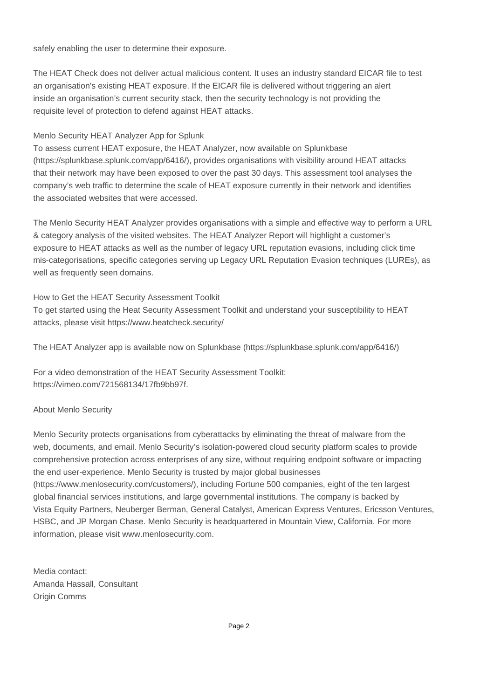safely enabling the user to determine their exposure.

The HEAT Check does not deliver actual malicious content. It uses an industry standard EICAR file to test an organisation's existing HEAT exposure. If the EICAR file is delivered without triggering an alert inside an organisation's current security stack, then the security technology is not providing the requisite level of protection to defend against HEAT attacks.

# Menlo Security HEAT Analyzer App for Splunk

To assess current HEAT exposure, the HEAT Analyzer, now available on Splunkbase (https://splunkbase.splunk.com/app/6416/), provides organisations with visibility around HEAT attacks that their network may have been exposed to over the past 30 days. This assessment tool analyses the company's web traffic to determine the scale of HEAT exposure currently in their network and identifies the associated websites that were accessed.

The Menlo Security HEAT Analyzer provides organisations with a simple and effective way to perform a URL & category analysis of the visited websites. The HEAT Analyzer Report will highlight a customer's exposure to HEAT attacks as well as the number of legacy URL reputation evasions, including click time mis-categorisations, specific categories serving up Legacy URL Reputation Evasion techniques (LUREs), as well as frequently seen domains.

How to Get the HEAT Security Assessment Toolkit To get started using the Heat Security Assessment Toolkit and understand your susceptibility to HEAT attacks, please visit https://www.heatcheck.security/

The HEAT Analyzer app is available now on Splunkbase (https://splunkbase.splunk.com/app/6416/)

For a video demonstration of the HEAT Security Assessment Toolkit: https://vimeo.com/721568134/17fb9bb97f.

# About Menlo Security

Menlo Security protects organisations from cyberattacks by eliminating the threat of malware from the web, documents, and email. Menlo Security's isolation-powered cloud security platform scales to provide comprehensive protection across enterprises of any size, without requiring endpoint software or impacting the end user-experience. Menlo Security is trusted by major global businesses (https://www.menlosecurity.com/customers/), including Fortune 500 companies, eight of the ten largest global financial services institutions, and large governmental institutions. The company is backed by Vista Equity Partners, Neuberger Berman, General Catalyst, American Express Ventures, Ericsson Ventures, HSBC, and JP Morgan Chase. Menlo Security is headquartered in Mountain View, California. For more information, please visit www.menlosecurity.com.

Media contact: Amanda Hassall, Consultant Origin Comms